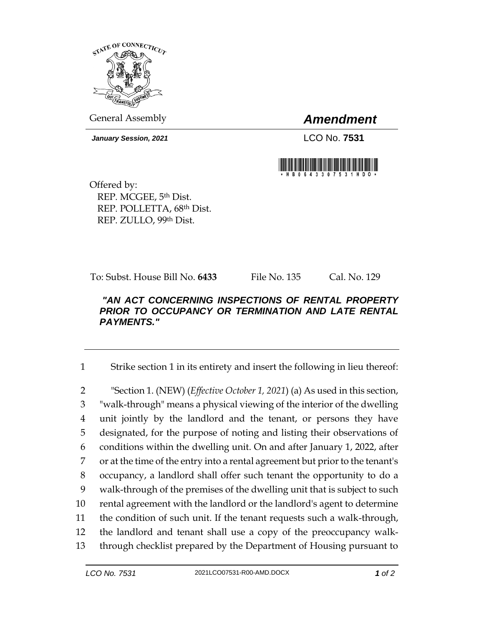

General Assembly *Amendment*

*January Session, 2021* LCO No. **7531**



Offered by: REP. MCGEE, 5th Dist. REP. POLLETTA, 68th Dist. REP. ZULLO, 99th Dist.

To: Subst. House Bill No. **6433** File No. 135 Cal. No. 129

## *"AN ACT CONCERNING INSPECTIONS OF RENTAL PROPERTY PRIOR TO OCCUPANCY OR TERMINATION AND LATE RENTAL PAYMENTS."*

1 Strike section 1 in its entirety and insert the following in lieu thereof:

 "Section 1. (NEW) (*Effective October 1, 2021*) (a) As used in this section, "walk-through" means a physical viewing of the interior of the dwelling unit jointly by the landlord and the tenant, or persons they have designated, for the purpose of noting and listing their observations of conditions within the dwelling unit. On and after January 1, 2022, after or at the time of the entry into a rental agreement but prior to the tenant's occupancy, a landlord shall offer such tenant the opportunity to do a walk-through of the premises of the dwelling unit that is subject to such rental agreement with the landlord or the landlord's agent to determine the condition of such unit. If the tenant requests such a walk-through, the landlord and tenant shall use a copy of the preoccupancy walk-through checklist prepared by the Department of Housing pursuant to